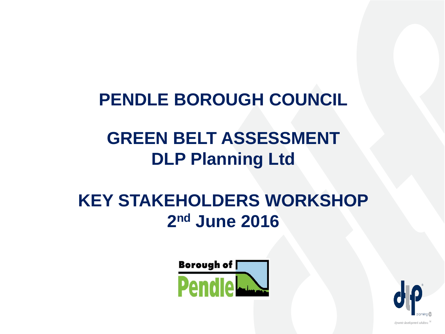#### **PENDLE BOROUGH COUNCIL**

### **GREEN BELT ASSESSMENT DLP Planning Ltd**

#### **KEY STAKEHOLDERS WORKSHOP 2nd June 2016**



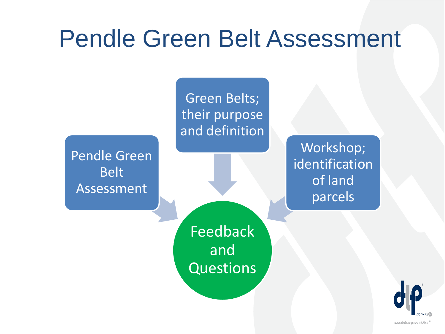### Pendle Green Belt Assessment

Pendle Green Belt Assessment

Green Belts; their purpose and definition

> Workshop; identification of land parcels

Feedback and Questions

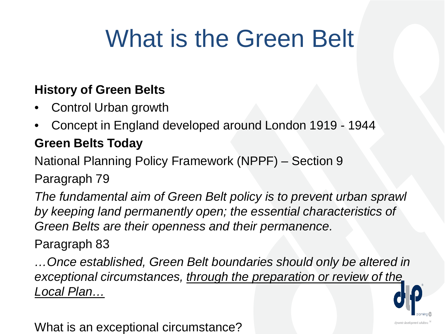## What is the Green Belt

#### **History of Green Belts**

- Control Urban growth
- Concept in England developed around London 1919 1944

#### **Green Belts Today**

National Planning Policy Framework (NPPF) – Section 9

Paragraph 79

*The fundamental aim of Green Belt policy is to prevent urban sprawl by keeping land permanently open; the essential characteristics of Green Belts are their openness and their permanence.*

Paragraph 83

*…Once established, Green Belt boundaries should only be altered in exceptional circumstances, through the preparation or review of the Local Plan…*



What is an exceptional circumstance?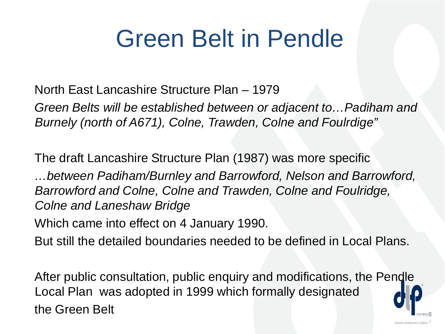## Green Belt in Pendle

North East Lancashire Structure Plan – 1979

*Green Belts will be established between or adjacent to…Padiham and Burnely (north of A671), Colne, Trawden, Colne and Foulrdige"*

The draft Lancashire Structure Plan (1987) was more specific

*…between Padiham/Burnley and Barrowford, Nelson and Barrowford, Barrowford and Colne, Colne and Trawden, Colne and Foulridge, Colne and Laneshaw Bridge*

Which came into effect on 4 January 1990.

But still the detailed boundaries needed to be defined in Local Plans.

After public consultation, public enquiry and modifications, the Pendle Local Plan was adopted in 1999 which formally designated the Green Belt

dynamic development solutions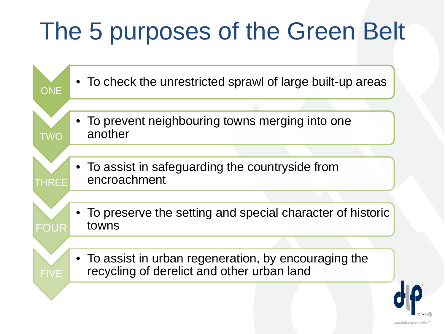# The 5 purposes of the Green Belt



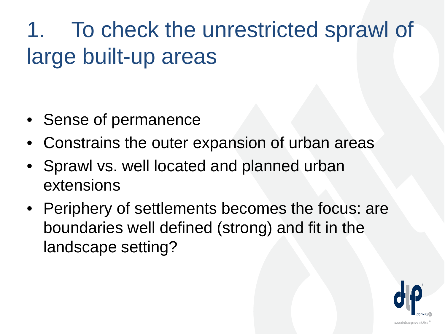### 1. To check the unrestricted sprawl of large built-up areas

- Sense of permanence
- Constrains the outer expansion of urban areas
- Sprawl vs. well located and planned urban extensions
- Periphery of settlements becomes the focus: are boundaries well defined (strong) and fit in the landscape setting?

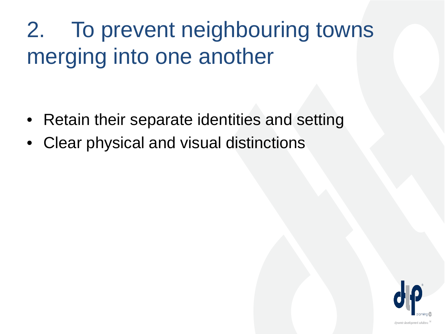### 2. To prevent neighbouring towns merging into one another

- Retain their separate identities and setting
- Clear physical and visual distinctions

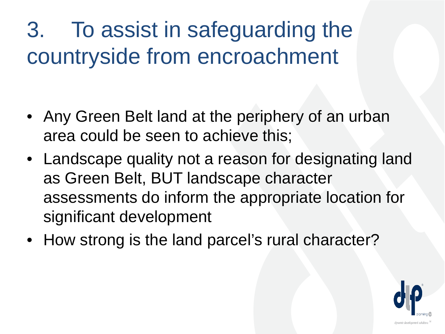3. To assist in safeguarding the countryside from encroachment

- Any Green Belt land at the periphery of an urban area could be seen to achieve this;
- Landscape quality not a reason for designating land as Green Belt, BUT landscape character assessments do inform the appropriate location for significant development
- How strong is the land parcel's rural character?

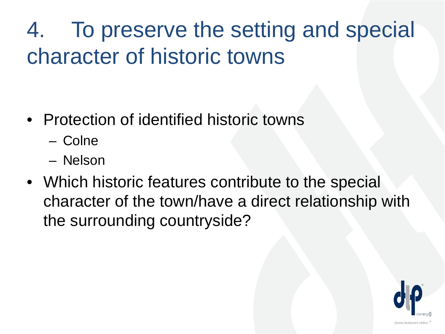### 4. To preserve the setting and special character of historic towns

- Protection of identified historic towns
	- Colne
	- Nelson
- Which historic features contribute to the special character of the town/have a direct relationship with the surrounding countryside?

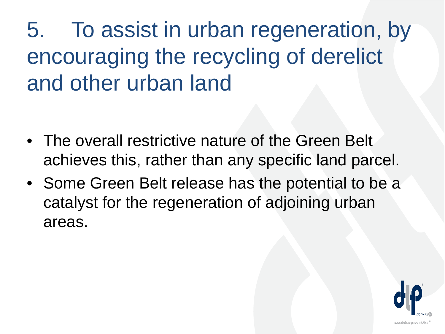5. To assist in urban regeneration, by encouraging the recycling of derelict and other urban land

- The overall restrictive nature of the Green Belt achieves this, rather than any specific land parcel.
- Some Green Belt release has the potential to be a catalyst for the regeneration of adjoining urban areas.

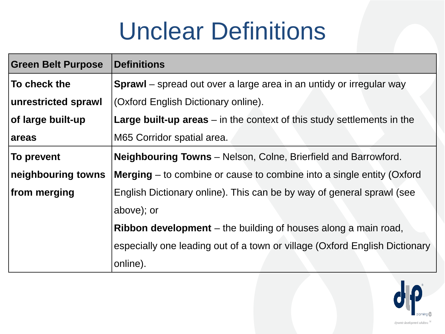## Unclear Definitions

| <b>Green Belt Purpose</b> | <b>Definitions</b>                                                              |
|---------------------------|---------------------------------------------------------------------------------|
| To check the              | <b>Sprawl</b> – spread out over a large area in an untidy or irregular way      |
| unrestricted sprawl       | (Oxford English Dictionary online).                                             |
| of large built-up         | <b>Large built-up areas</b> $-$ in the context of this study settlements in the |
| <b>areas</b>              | M65 Corridor spatial area.                                                      |
| To prevent                | <b>Neighbouring Towns</b> – Nelson, Colne, Brierfield and Barrowford.           |
| neighbouring towns        | <b>Merging</b> $-$ to combine or cause to combine into a single entity (Oxford  |
| from merging              | English Dictionary online). This can be by way of general sprawl (see           |
|                           | above); or                                                                      |
|                           | <b>Ribbon development</b> – the building of houses along a main road,           |
|                           | especially one leading out of a town or village (Oxford English Dictionary      |
|                           | online).                                                                        |

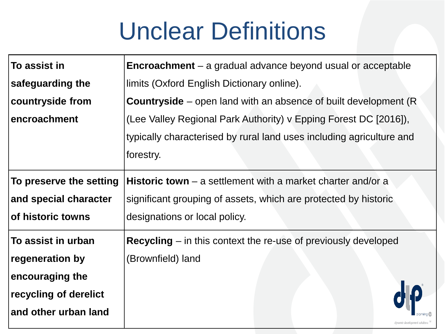## Unclear Definitions

| To assist in            | <b>Encroachment</b> $-$ a gradual advance beyond usual or acceptable    |
|-------------------------|-------------------------------------------------------------------------|
| safeguarding the        | limits (Oxford English Dictionary online).                              |
| countryside from        | <b>Countryside</b> – open land with an absence of built development (R) |
| encroachment            | (Lee Valley Regional Park Authority) v Epping Forest DC [2016]),        |
|                         | typically characterised by rural land uses including agriculture and    |
|                         | forestry.                                                               |
| To preserve the setting | <b>Historic town</b> – a settlement with a market charter and/or a      |
| and special character   | significant grouping of assets, which are protected by historic         |
| of historic towns       | designations or local policy.                                           |
| To assist in urban      | <b>Recycling</b> $-$ in this context the re-use of previously developed |
| regeneration by         | (Brownfield) land                                                       |
| encouraging the         |                                                                         |
| recycling of derelict   |                                                                         |
| and other urban land    |                                                                         |
|                         |                                                                         |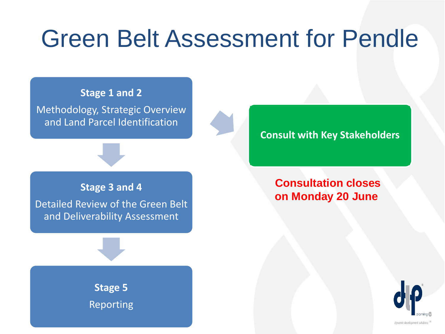### Green Belt Assessment for Pendle

**Stage 1 and 2** 

Methodology, Strategic Overview and Land Parcel Identification

#### **Stage 3 and 4**

Detailed Review of the Green Belt and Deliverability Assessment

> **Stage 5** Reporting

**Consult with Key Stakeholders**

#### **Consultation closes on Monday 20 June**

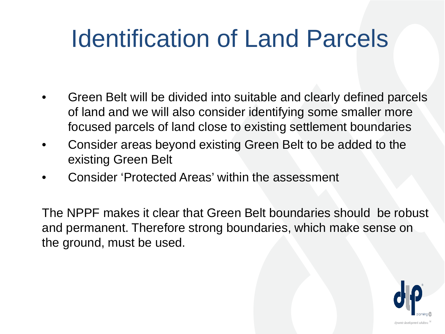## Identification of Land Parcels

- Green Belt will be divided into suitable and clearly defined parcels of land and we will also consider identifying some smaller more focused parcels of land close to existing settlement boundaries
- Consider areas beyond existing Green Belt to be added to the existing Green Belt
- Consider 'Protected Areas' within the assessment

The NPPF makes it clear that Green Belt boundaries should be robust and permanent. Therefore strong boundaries, which make sense on the ground, must be used.

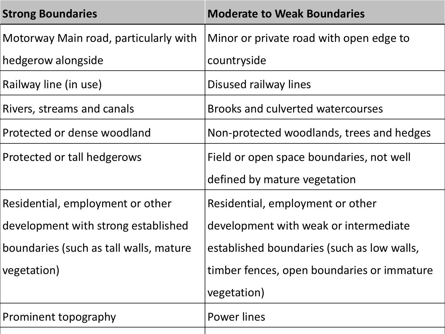| <b>Strong Boundaries</b>               | <b>Moderate to Weak Boundaries</b>         |
|----------------------------------------|--------------------------------------------|
| Motorway Main road, particularly with  | Minor or private road with open edge to    |
| hedgerow alongside                     | countryside                                |
| Railway line (in use)                  | Disused railway lines                      |
| Rivers, streams and canals             | <b>Brooks and culverted watercourses</b>   |
| Protected or dense woodland            | Non-protected woodlands, trees and hedges  |
| Protected or tall hedgerows            | Field or open space boundaries, not well   |
|                                        | defined by mature vegetation               |
| Residential, employment or other       | Residential, employment or other           |
| development with strong established    | development with weak or intermediate      |
| boundaries (such as tall walls, mature | established boundaries (such as low walls, |
| vegetation)                            | timber fences, open boundaries or immature |
|                                        | vegetation)                                |
| Prominent topography                   | Power lines                                |
|                                        |                                            |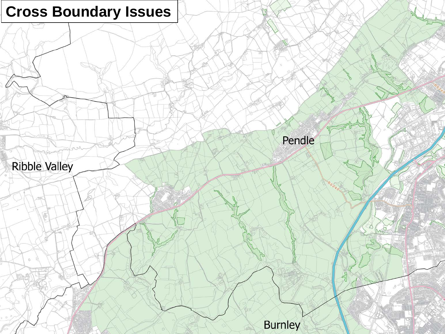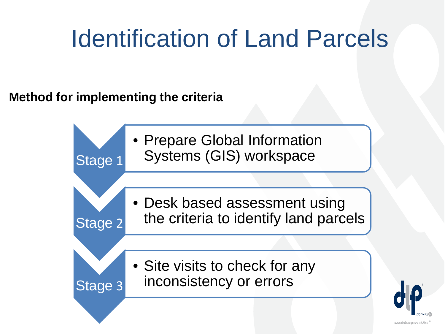## Identification of Land Parcels

**Method for implementing the criteria**



dynamic development solutions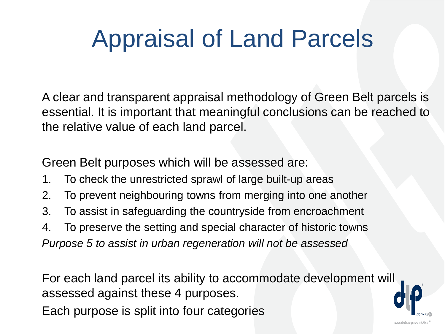# Appraisal of Land Parcels

A clear and transparent appraisal methodology of Green Belt parcels is essential. It is important that meaningful conclusions can be reached to the relative value of each land parcel.

Green Belt purposes which will be assessed are:

- 1. To check the unrestricted sprawl of large built-up areas
- 2. To prevent neighbouring towns from merging into one another
- 3. To assist in safeguarding the countryside from encroachment
- 4. To preserve the setting and special character of historic towns *Purpose 5 to assist in urban regeneration will not be assessed*

For each land parcel its ability to accommodate development will assessed against these 4 purposes.

Each purpose is split into four categories

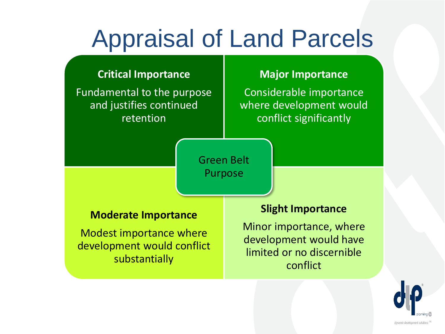## Appraisal of Land Parcels

#### **Critical Importance**

Fundamental to the purpose and justifies continued retention

#### **Major Importance**

Considerable importance where development would conflict significantly

Green Belt Purpose

#### **Moderate Importance**

Modest importance where development would conflict substantially

#### **Slight Importance**

Minor importance, where development would have limited or no discernible conflict

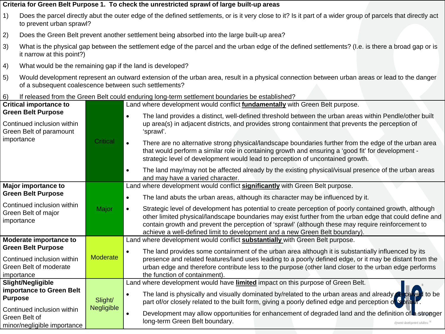- 1) Does the parcel directly abut the outer edge of the defined settlements, or is it very close to it? Is it part of a wider group of parcels that directly act to prevent urban sprawl?
- 2) Does the Green Belt prevent another settlement being absorbed into the large built-up area?
- 3) What is the physical gap between the settlement edge of the parcel and the urban edge of the defined settlements? (I.e. is there a broad gap or is it narrow at this point?)
- 4) What would be the remaining gap if the land is developed?
- 5) Would development represent an outward extension of the urban area, result in a physical connection between urban areas or lead to the danger of a subsequent coalescence between such settlements?
- 6) If released from the Green Belt could enduring long-term settlement boundaries be established?

| <b>Critical importance to</b>                                                                    |                              | Land where development would conflict fundamentally with Green Belt purpose.                                                                                                                                                                                                                                                                                                                                        |
|--------------------------------------------------------------------------------------------------|------------------------------|---------------------------------------------------------------------------------------------------------------------------------------------------------------------------------------------------------------------------------------------------------------------------------------------------------------------------------------------------------------------------------------------------------------------|
| <b>Green Belt Purpose</b><br>Continued inclusion within<br>Green Belt of paramount<br>importance | <b>Critical</b>              | The land provides a distinct, well-defined threshold between the urban areas within Pendle/other built<br>$\bullet$<br>up area(s) in adjacent districts, and provides strong containment that prevents the perception of<br>'sprawl'.                                                                                                                                                                               |
|                                                                                                  |                              | There are no alternative strong physical/landscape boundaries further from the edge of the urban area<br>$\bullet$<br>that would perform a similar role in containing growth and ensuring a 'good fit' for development -<br>strategic level of development would lead to perception of uncontained growth.                                                                                                          |
|                                                                                                  |                              | The land may/may not be affected already by the existing physical/visual presence of the urban areas<br>$\bullet$<br>and may have a varied character.                                                                                                                                                                                                                                                               |
| <b>Major importance to</b>                                                                       |                              | Land where development would conflict significantly with Green Belt purpose.                                                                                                                                                                                                                                                                                                                                        |
| <b>Green Belt Purpose</b>                                                                        |                              | The land abuts the urban areas, although its character may be influenced by it.<br>$\bullet$                                                                                                                                                                                                                                                                                                                        |
| Continued inclusion within<br>Green Belt of major<br>importance                                  | Major                        | Strategic level of development has potential to create perception of poorly contained growth, although<br>$\bullet$<br>other limited physical/landscape boundaries may exist further from the urban edge that could define and<br>contain growth and prevent the perception of 'sprawl' (although these may require reinforcement to<br>achieve a well-defined limit to development and a new Green Belt boundary). |
| Moderate importance to                                                                           |                              | Land where development would conflict <b>substantially</b> with Green Belt purpose.                                                                                                                                                                                                                                                                                                                                 |
| <b>Green Belt Purpose</b><br>Continued inclusion within<br>Green Belt of moderate<br>importance  | <b>Moderate</b>              | The land provides some containment of the urban area although it is substantially influenced by its<br>$\bullet$<br>presence and related features/land uses leading to a poorly defined edge, or it may be distant from the<br>urban edge and therefore contribute less to the purpose (other land closer to the urban edge performs<br>the function of containment).                                               |
| Slight/Negligible                                                                                | Slight/<br><b>Negligible</b> | Land where development would have <b>limited</b> impact on this purpose of Green Belt.                                                                                                                                                                                                                                                                                                                              |
| importance to Green Belt<br><b>Purpose</b>                                                       |                              | The land is physically and visually dominated by/related to the urban areas and already perceived to be<br>$\bullet$<br>part of/or closely related to the built form, giving a poorly defined edge and perception of 'sprawl'.                                                                                                                                                                                      |
| Continued inclusion within<br>Green Belt of<br>minor/negligible importance                       |                              | Development may allow opportunities for enhancement of degraded land and the definition of a stronger<br>$\bullet$<br>long-term Green Belt boundary.<br>dynamic development solutions iM                                                                                                                                                                                                                            |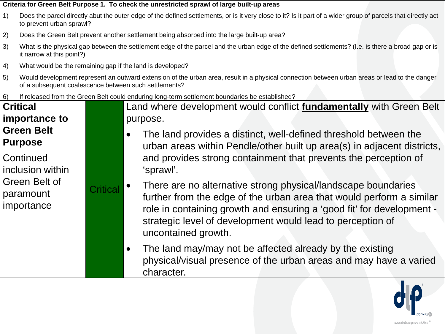- 1) Does the parcel directly abut the outer edge of the defined settlements, or is it very close to it? Is it part of a wider group of parcels that directly act to prevent urban sprawl?
- 2) Does the Green Belt prevent another settlement being absorbed into the large built-up area?
- 3) What is the physical gap between the settlement edge of the parcel and the urban edge of the defined settlements? (I.e. is there a broad gap or is it narrow at this point?)
- 4) What would be the remaining gap if the land is developed?
- 5) Would development represent an outward extension of the urban area, result in a physical connection between urban areas or lead to the danger of a subsequent coalescence between such settlements?
- 6) If released from the Green Belt could enduring long-term settlement boundaries be established?

#### **Critical importance to Green Belt Purpose Continued** inclusion within Green Belt of paramount importance **Critical**

Land where development would conflict **fundamentally** with Green Belt purpose.

- The land provides a distinct, well-defined threshold between the urban areas within Pendle/other built up area(s) in adjacent districts, and provides strong containment that prevents the perception of 'sprawl'.
- There are no alternative strong physical/landscape boundaries further from the edge of the urban area that would perform a similar role in containing growth and ensuring a 'good fit' for development strategic level of development would lead to perception of uncontained growth.
- The land may/may not be affected already by the existing physical/visual presence of the urban areas and may have a varied character.

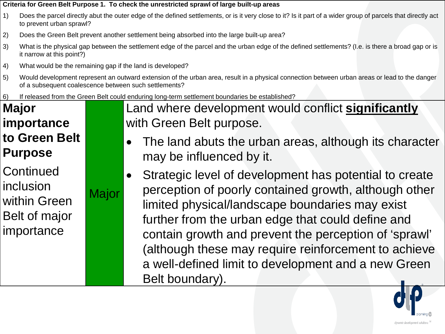- 1) Does the parcel directly abut the outer edge of the defined settlements, or is it very close to it? Is it part of a wider group of parcels that directly act to prevent urban sprawl?
- 2) Does the Green Belt prevent another settlement being absorbed into the large built-up area?
- 3) What is the physical gap between the settlement edge of the parcel and the urban edge of the defined settlements? (I.e. is there a broad gap or is it narrow at this point?)
- 4) What would be the remaining gap if the land is developed?

Major

- 5) Would development represent an outward extension of the urban area, result in a physical connection between urban areas or lead to the danger of a subsequent coalescence between such settlements?
- 6) If released from the Green Belt could enduring long-term settlement boundaries be established?

#### **Major importance to Green Belt Purpose**

**Continued** inclusion within Green Belt of major importance

Land where development would conflict **significantly** with Green Belt purpose.

- The land abuts the urban areas, although its character may be influenced by it.
- Strategic level of development has potential to create perception of poorly contained growth, although other limited physical/landscape boundaries may exist further from the urban edge that could define and contain growth and prevent the perception of 'sprawl' (although these may require reinforcement to achieve a well-defined limit to development and a new Green Belt boundary).

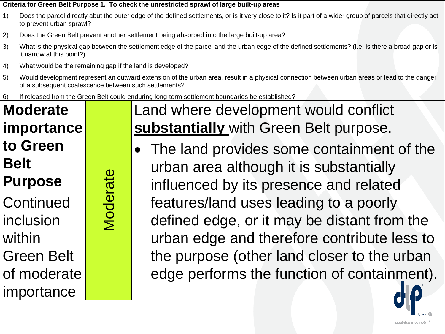- 1) Does the parcel directly abut the outer edge of the defined settlements, or is it very close to it? Is it part of a wider group of parcels that directly act to prevent urban sprawl?
- 2) Does the Green Belt prevent another settlement being absorbed into the large built-up area?
- 3) What is the physical gap between the settlement edge of the parcel and the urban edge of the defined settlements? (I.e. is there a broad gap or is it narrow at this point?)
- 4) What would be the remaining gap if the land is developed?

Moderate

Moderate

- 5) Would development represent an outward extension of the urban area, result in a physical connection between urban areas or lead to the danger of a subsequent coalescence between such settlements?
- 6) If released from the Green Belt could enduring long-term settlement boundaries be established?

**Moderate importance to Green Belt Purpose Continued** inclusion within Green Belt of moderate importance

Land where development would conflict **substantially** with Green Belt purpose.

The land provides some containment of the urban area although it is substantially influenced by its presence and related features/land uses leading to a poorly defined edge, or it may be distant from the urban edge and therefore contribute less to the purpose (other land closer to the urban edge performs the function of containment).

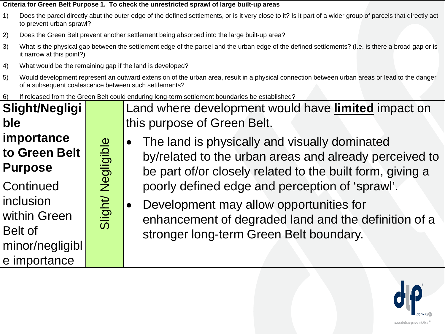- 1) Does the parcel directly abut the outer edge of the defined settlements, or is it very close to it? Is it part of a wider group of parcels that directly act to prevent urban sprawl?
- 2) Does the Green Belt prevent another settlement being absorbed into the large built-up area?
- 3) What is the physical gap between the settlement edge of the parcel and the urban edge of the defined settlements? (I.e. is there a broad gap or is it narrow at this point?)
- 4) What would be the remaining gap if the land is developed?
- 5) Would development represent an outward extension of the urban area, result in a physical connection between urban areas or lead to the danger of a subsequent coalescence between such settlements?
- 6) If released from the Green Belt could enduring long-term settlement boundaries be established?



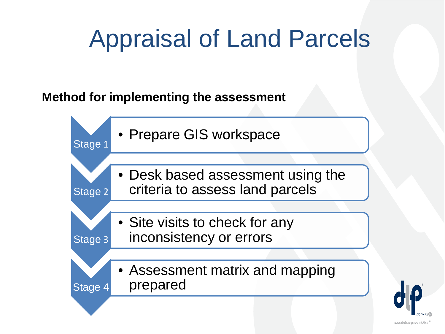# Appraisal of Land Parcels

#### **Method for implementing the assessment**



dynamic development solutions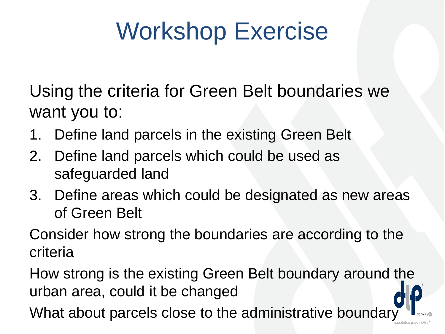# Workshop Exercise

Using the criteria for Green Belt boundaries we want you to:

- 1. Define land parcels in the existing Green Belt
- 2. Define land parcels which could be used as safeguarded land
- 3. Define areas which could be designated as new areas of Green Belt

Consider how strong the boundaries are according to the criteria

How strong is the existing Green Belt boundary around the urban area, could it be changed

What about parcels close to the administrative boundary